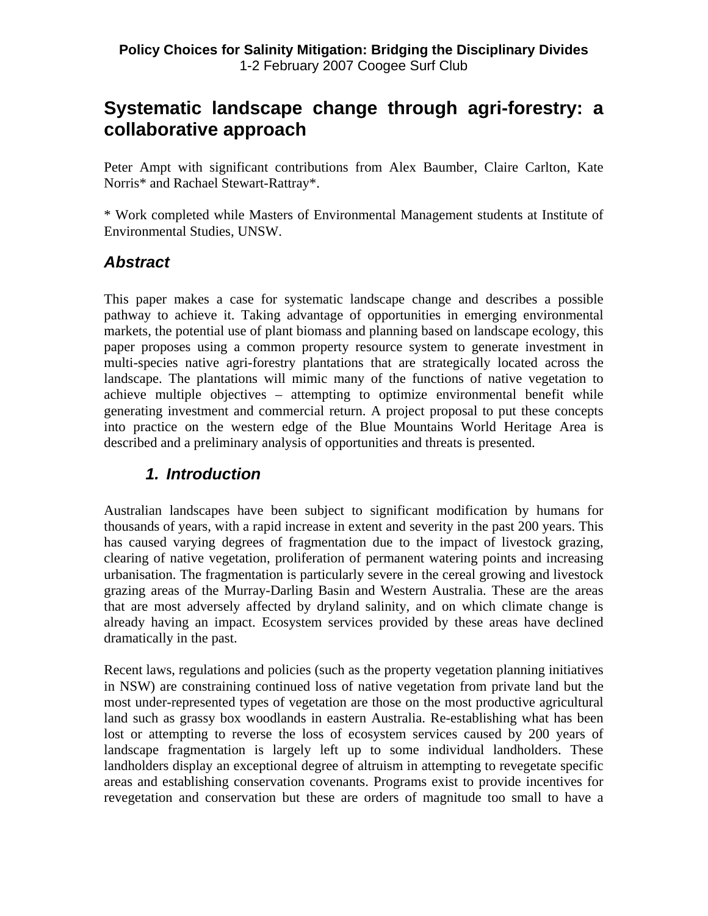# **Systematic landscape change through agri-forestry: a collaborative approach**

Peter Ampt with significant contributions from Alex Baumber, Claire Carlton, Kate Norris\* and Rachael Stewart-Rattray\*.

\* Work completed while Masters of Environmental Management students at Institute of Environmental Studies, UNSW.

# *Abstract*

This paper makes a case for systematic landscape change and describes a possible pathway to achieve it. Taking advantage of opportunities in emerging environmental markets, the potential use of plant biomass and planning based on landscape ecology, this paper proposes using a common property resource system to generate investment in multi-species native agri-forestry plantations that are strategically located across the landscape. The plantations will mimic many of the functions of native vegetation to achieve multiple objectives – attempting to optimize environmental benefit while generating investment and commercial return. A project proposal to put these concepts into practice on the western edge of the Blue Mountains World Heritage Area is described and a preliminary analysis of opportunities and threats is presented.

# *1. Introduction*

Australian landscapes have been subject to significant modification by humans for thousands of years, with a rapid increase in extent and severity in the past 200 years. This has caused varying degrees of fragmentation due to the impact of livestock grazing, clearing of native vegetation, proliferation of permanent watering points and increasing urbanisation. The fragmentation is particularly severe in the cereal growing and livestock grazing areas of the Murray-Darling Basin and Western Australia. These are the areas that are most adversely affected by dryland salinity, and on which climate change is already having an impact. Ecosystem services provided by these areas have declined dramatically in the past.

Recent laws, regulations and policies (such as the property vegetation planning initiatives in NSW) are constraining continued loss of native vegetation from private land but the most under-represented types of vegetation are those on the most productive agricultural land such as grassy box woodlands in eastern Australia. Re-establishing what has been lost or attempting to reverse the loss of ecosystem services caused by 200 years of landscape fragmentation is largely left up to some individual landholders. These landholders display an exceptional degree of altruism in attempting to revegetate specific areas and establishing conservation covenants. Programs exist to provide incentives for revegetation and conservation but these are orders of magnitude too small to have a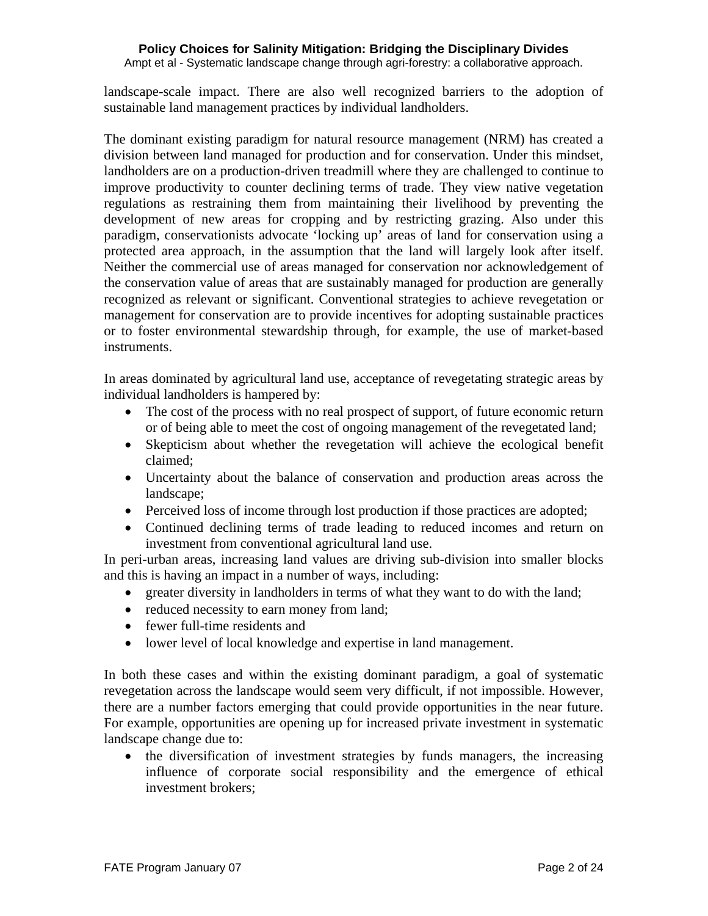Ampt et al - Systematic landscape change through agri-forestry: a collaborative approach.

landscape-scale impact. There are also well recognized barriers to the adoption of sustainable land management practices by individual landholders.

The dominant existing paradigm for natural resource management (NRM) has created a division between land managed for production and for conservation. Under this mindset, landholders are on a production-driven treadmill where they are challenged to continue to improve productivity to counter declining terms of trade. They view native vegetation regulations as restraining them from maintaining their livelihood by preventing the development of new areas for cropping and by restricting grazing. Also under this paradigm, conservationists advocate 'locking up' areas of land for conservation using a protected area approach, in the assumption that the land will largely look after itself. Neither the commercial use of areas managed for conservation nor acknowledgement of the conservation value of areas that are sustainably managed for production are generally recognized as relevant or significant. Conventional strategies to achieve revegetation or management for conservation are to provide incentives for adopting sustainable practices or to foster environmental stewardship through, for example, the use of market-based instruments.

In areas dominated by agricultural land use, acceptance of revegetating strategic areas by individual landholders is hampered by:

- The cost of the process with no real prospect of support, of future economic return or of being able to meet the cost of ongoing management of the revegetated land;
- Skepticism about whether the revegetation will achieve the ecological benefit claimed;
- Uncertainty about the balance of conservation and production areas across the landscape;
- Perceived loss of income through lost production if those practices are adopted;
- Continued declining terms of trade leading to reduced incomes and return on investment from conventional agricultural land use.

In peri-urban areas, increasing land values are driving sub-division into smaller blocks and this is having an impact in a number of ways, including:

- greater diversity in landholders in terms of what they want to do with the land;
- reduced necessity to earn money from land;
- fewer full-time residents and
- lower level of local knowledge and expertise in land management.

In both these cases and within the existing dominant paradigm, a goal of systematic revegetation across the landscape would seem very difficult, if not impossible. However, there are a number factors emerging that could provide opportunities in the near future. For example, opportunities are opening up for increased private investment in systematic landscape change due to:

• the diversification of investment strategies by funds managers, the increasing influence of corporate social responsibility and the emergence of ethical investment brokers;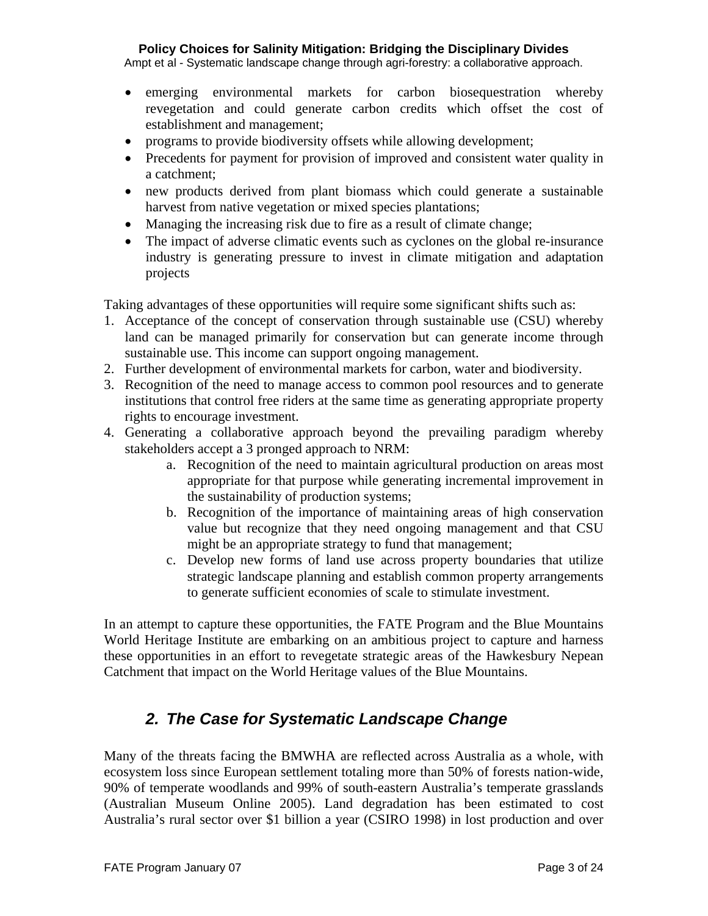Ampt et al - Systematic landscape change through agri-forestry: a collaborative approach.

- emerging environmental markets for carbon biosequestration whereby revegetation and could generate carbon credits which offset the cost of establishment and management;
- programs to provide biodiversity offsets while allowing development;
- Precedents for payment for provision of improved and consistent water quality in a catchment;
- new products derived from plant biomass which could generate a sustainable harvest from native vegetation or mixed species plantations;
- Managing the increasing risk due to fire as a result of climate change;
- The impact of adverse climatic events such as cyclones on the global re-insurance industry is generating pressure to invest in climate mitigation and adaptation projects

Taking advantages of these opportunities will require some significant shifts such as:

- 1. Acceptance of the concept of conservation through sustainable use (CSU) whereby land can be managed primarily for conservation but can generate income through sustainable use. This income can support ongoing management.
- 2. Further development of environmental markets for carbon, water and biodiversity.
- 3. Recognition of the need to manage access to common pool resources and to generate institutions that control free riders at the same time as generating appropriate property rights to encourage investment.
- 4. Generating a collaborative approach beyond the prevailing paradigm whereby stakeholders accept a 3 pronged approach to NRM:
	- a. Recognition of the need to maintain agricultural production on areas most appropriate for that purpose while generating incremental improvement in the sustainability of production systems;
	- b. Recognition of the importance of maintaining areas of high conservation value but recognize that they need ongoing management and that CSU might be an appropriate strategy to fund that management;
	- c. Develop new forms of land use across property boundaries that utilize strategic landscape planning and establish common property arrangements to generate sufficient economies of scale to stimulate investment.

In an attempt to capture these opportunities, the FATE Program and the Blue Mountains World Heritage Institute are embarking on an ambitious project to capture and harness these opportunities in an effort to revegetate strategic areas of the Hawkesbury Nepean Catchment that impact on the World Heritage values of the Blue Mountains.

## *2. The Case for Systematic Landscape Change*

Many of the threats facing the BMWHA are reflected across Australia as a whole, with ecosystem loss since European settlement totaling more than 50% of forests nation-wide, 90% of temperate woodlands and 99% of south-eastern Australia's temperate grasslands (Australian Museum Online 2005). Land degradation has been estimated to cost Australia's rural sector over \$1 billion a year (CSIRO 1998) in lost production and over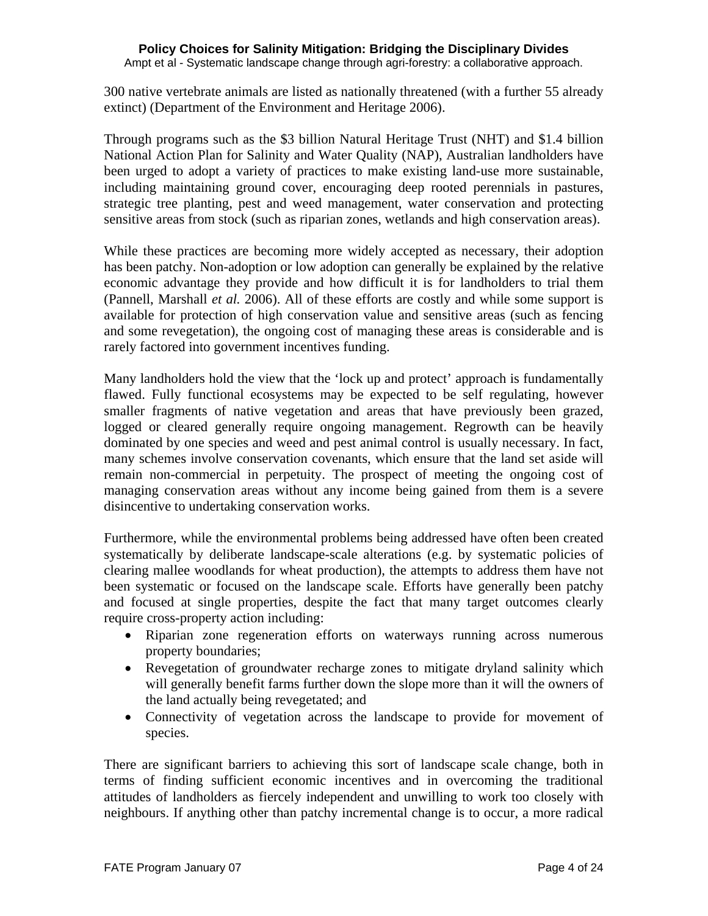Ampt et al - Systematic landscape change through agri-forestry: a collaborative approach.

300 native vertebrate animals are listed as nationally threatened (with a further 55 already extinct) (Department of the Environment and Heritage 2006).

Through programs such as the \$3 billion Natural Heritage Trust (NHT) and \$1.4 billion National Action Plan for Salinity and Water Quality (NAP), Australian landholders have been urged to adopt a variety of practices to make existing land-use more sustainable, including maintaining ground cover, encouraging deep rooted perennials in pastures, strategic tree planting, pest and weed management, water conservation and protecting sensitive areas from stock (such as riparian zones, wetlands and high conservation areas).

While these practices are becoming more widely accepted as necessary, their adoption has been patchy. Non-adoption or low adoption can generally be explained by the relative economic advantage they provide and how difficult it is for landholders to trial them (Pannell, Marshall *et al.* 2006). All of these efforts are costly and while some support is available for protection of high conservation value and sensitive areas (such as fencing and some revegetation), the ongoing cost of managing these areas is considerable and is rarely factored into government incentives funding.

Many landholders hold the view that the 'lock up and protect' approach is fundamentally flawed. Fully functional ecosystems may be expected to be self regulating, however smaller fragments of native vegetation and areas that have previously been grazed, logged or cleared generally require ongoing management. Regrowth can be heavily dominated by one species and weed and pest animal control is usually necessary. In fact, many schemes involve conservation covenants, which ensure that the land set aside will remain non-commercial in perpetuity. The prospect of meeting the ongoing cost of managing conservation areas without any income being gained from them is a severe disincentive to undertaking conservation works.

Furthermore, while the environmental problems being addressed have often been created systematically by deliberate landscape-scale alterations (e.g. by systematic policies of clearing mallee woodlands for wheat production), the attempts to address them have not been systematic or focused on the landscape scale. Efforts have generally been patchy and focused at single properties, despite the fact that many target outcomes clearly require cross-property action including:

- Riparian zone regeneration efforts on waterways running across numerous property boundaries;
- Revegetation of groundwater recharge zones to mitigate dryland salinity which will generally benefit farms further down the slope more than it will the owners of the land actually being revegetated; and
- Connectivity of vegetation across the landscape to provide for movement of species.

There are significant barriers to achieving this sort of landscape scale change, both in terms of finding sufficient economic incentives and in overcoming the traditional attitudes of landholders as fiercely independent and unwilling to work too closely with neighbours. If anything other than patchy incremental change is to occur, a more radical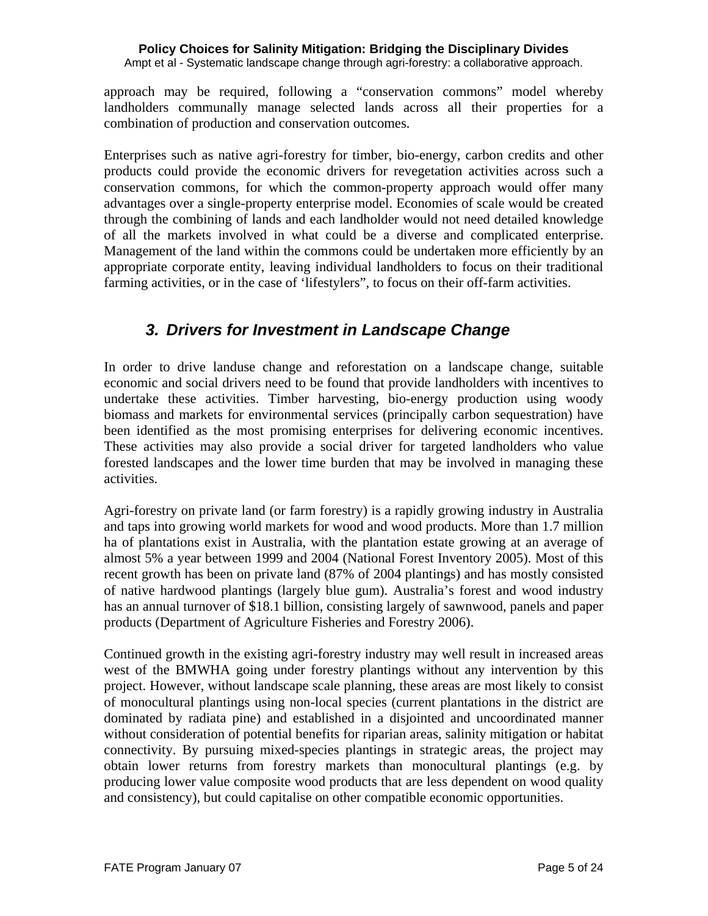approach may be required, following a "conservation commons" model whereby landholders communally manage selected lands across all their properties for a combination of production and conservation outcomes.

Enterprises such as native agri-forestry for timber, bio-energy, carbon credits and other products could provide the economic drivers for revegetation activities across such a conservation commons, for which the common-property approach would offer many advantages over a single-property enterprise model. Economies of scale would be created through the combining of lands and each landholder would not need detailed knowledge of all the markets involved in what could be a diverse and complicated enterprise. Management of the land within the commons could be undertaken more efficiently by an appropriate corporate entity, leaving individual landholders to focus on their traditional farming activities, or in the case of 'lifestylers'', to focus on their off-farm activities.

# *3. Drivers for Investment in Landscape Change*

In order to drive landuse change and reforestation on a landscape change, suitable economic and social drivers need to be found that provide landholders with incentives to undertake these activities. Timber harvesting, bio-energy production using woody biomass and markets for environmental services (principally carbon sequestration) have been identified as the most promising enterprises for delivering economic incentives. These activities may also provide a social driver for targeted landholders who value forested landscapes and the lower time burden that may be involved in managing these activities.

Agri-forestry on private land (or farm forestry) is a rapidly growing industry in Australia and taps into growing world markets for wood and wood products. More than 1.7 million ha of plantations exist in Australia, with the plantation estate growing at an average of almost 5% a year between 1999 and 2004 (National Forest Inventory 2005). Most of this recent growth has been on private land (87% of 2004 plantings) and has mostly consisted of native hardwood plantings (largely blue gum). Australia's forest and wood industry has an annual turnover of \$18.1 billion, consisting largely of sawnwood, panels and paper products (Department of Agriculture Fisheries and Forestry 2006).

Continued growth in the existing agri-forestry industry may well result in increased areas west of the BMWHA going under forestry plantings without any intervention by this project. However, without landscape scale planning, these areas are most likely to consist of monocultural plantings using non-local species (current plantations in the district are dominated by radiata pine) and established in a disjointed and uncoordinated manner without consideration of potential benefits for riparian areas, salinity mitigation or habitat connectivity. By pursuing mixed-species plantings in strategic areas, the project may obtain lower returns from forestry markets than monocultural plantings (e.g. by producing lower value composite wood products that are less dependent on wood quality and consistency), but could capitalise on other compatible economic opportunities.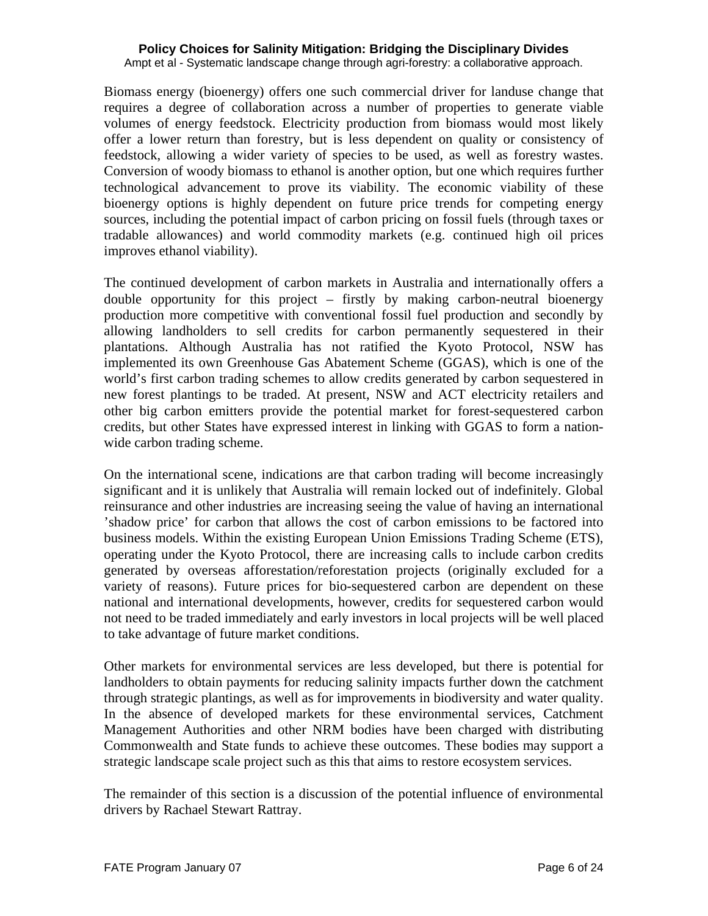Ampt et al - Systematic landscape change through agri-forestry: a collaborative approach.

Biomass energy (bioenergy) offers one such commercial driver for landuse change that requires a degree of collaboration across a number of properties to generate viable volumes of energy feedstock. Electricity production from biomass would most likely offer a lower return than forestry, but is less dependent on quality or consistency of feedstock, allowing a wider variety of species to be used, as well as forestry wastes. Conversion of woody biomass to ethanol is another option, but one which requires further technological advancement to prove its viability. The economic viability of these bioenergy options is highly dependent on future price trends for competing energy sources, including the potential impact of carbon pricing on fossil fuels (through taxes or tradable allowances) and world commodity markets (e.g. continued high oil prices improves ethanol viability).

The continued development of carbon markets in Australia and internationally offers a double opportunity for this project – firstly by making carbon-neutral bioenergy production more competitive with conventional fossil fuel production and secondly by allowing landholders to sell credits for carbon permanently sequestered in their plantations. Although Australia has not ratified the Kyoto Protocol, NSW has implemented its own Greenhouse Gas Abatement Scheme (GGAS), which is one of the world's first carbon trading schemes to allow credits generated by carbon sequestered in new forest plantings to be traded. At present, NSW and ACT electricity retailers and other big carbon emitters provide the potential market for forest-sequestered carbon credits, but other States have expressed interest in linking with GGAS to form a nationwide carbon trading scheme.

On the international scene, indications are that carbon trading will become increasingly significant and it is unlikely that Australia will remain locked out of indefinitely. Global reinsurance and other industries are increasing seeing the value of having an international 'shadow price' for carbon that allows the cost of carbon emissions to be factored into business models. Within the existing European Union Emissions Trading Scheme (ETS), operating under the Kyoto Protocol, there are increasing calls to include carbon credits generated by overseas afforestation/reforestation projects (originally excluded for a variety of reasons). Future prices for bio-sequestered carbon are dependent on these national and international developments, however, credits for sequestered carbon would not need to be traded immediately and early investors in local projects will be well placed to take advantage of future market conditions.

Other markets for environmental services are less developed, but there is potential for landholders to obtain payments for reducing salinity impacts further down the catchment through strategic plantings, as well as for improvements in biodiversity and water quality. In the absence of developed markets for these environmental services, Catchment Management Authorities and other NRM bodies have been charged with distributing Commonwealth and State funds to achieve these outcomes. These bodies may support a strategic landscape scale project such as this that aims to restore ecosystem services.

The remainder of this section is a discussion of the potential influence of environmental drivers by Rachael Stewart Rattray.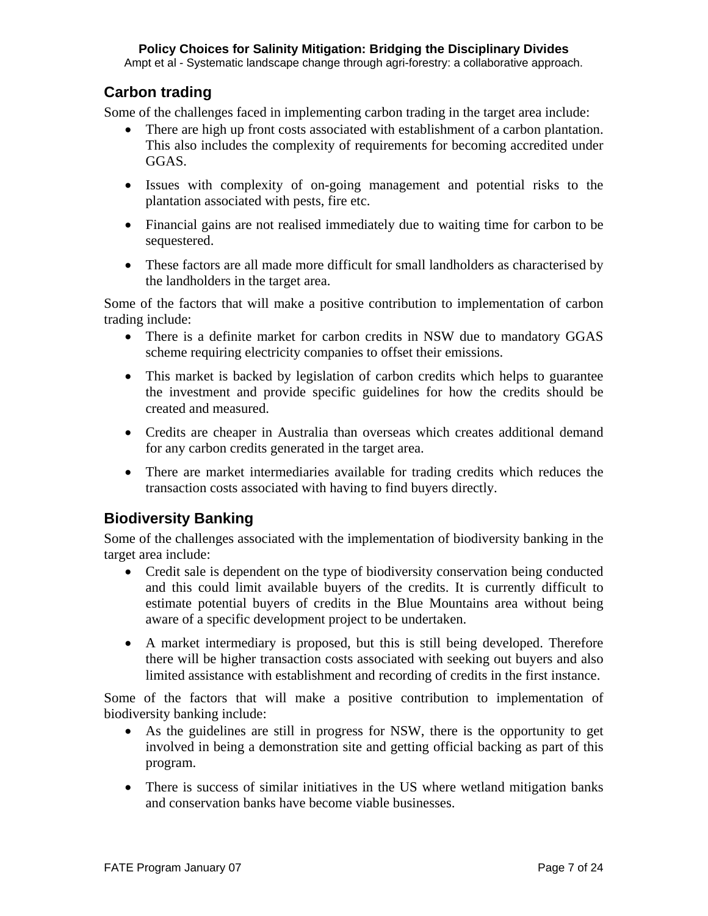Ampt et al - Systematic landscape change through agri-forestry: a collaborative approach.

## **Carbon trading**

Some of the challenges faced in implementing carbon trading in the target area include:

- There are high up front costs associated with establishment of a carbon plantation. This also includes the complexity of requirements for becoming accredited under GGAS.
- Issues with complexity of on-going management and potential risks to the plantation associated with pests, fire etc.
- Financial gains are not realised immediately due to waiting time for carbon to be sequestered.
- These factors are all made more difficult for small landholders as characterised by the landholders in the target area.

Some of the factors that will make a positive contribution to implementation of carbon trading include:

- There is a definite market for carbon credits in NSW due to mandatory GGAS scheme requiring electricity companies to offset their emissions.
- This market is backed by legislation of carbon credits which helps to guarantee the investment and provide specific guidelines for how the credits should be created and measured.
- Credits are cheaper in Australia than overseas which creates additional demand for any carbon credits generated in the target area.
- There are market intermediaries available for trading credits which reduces the transaction costs associated with having to find buyers directly.

## **Biodiversity Banking**

Some of the challenges associated with the implementation of biodiversity banking in the target area include:

- Credit sale is dependent on the type of biodiversity conservation being conducted and this could limit available buyers of the credits. It is currently difficult to estimate potential buyers of credits in the Blue Mountains area without being aware of a specific development project to be undertaken.
- A market intermediary is proposed, but this is still being developed. Therefore there will be higher transaction costs associated with seeking out buyers and also limited assistance with establishment and recording of credits in the first instance.

Some of the factors that will make a positive contribution to implementation of biodiversity banking include:

- As the guidelines are still in progress for NSW, there is the opportunity to get involved in being a demonstration site and getting official backing as part of this program.
- There is success of similar initiatives in the US where wetland mitigation banks and conservation banks have become viable businesses.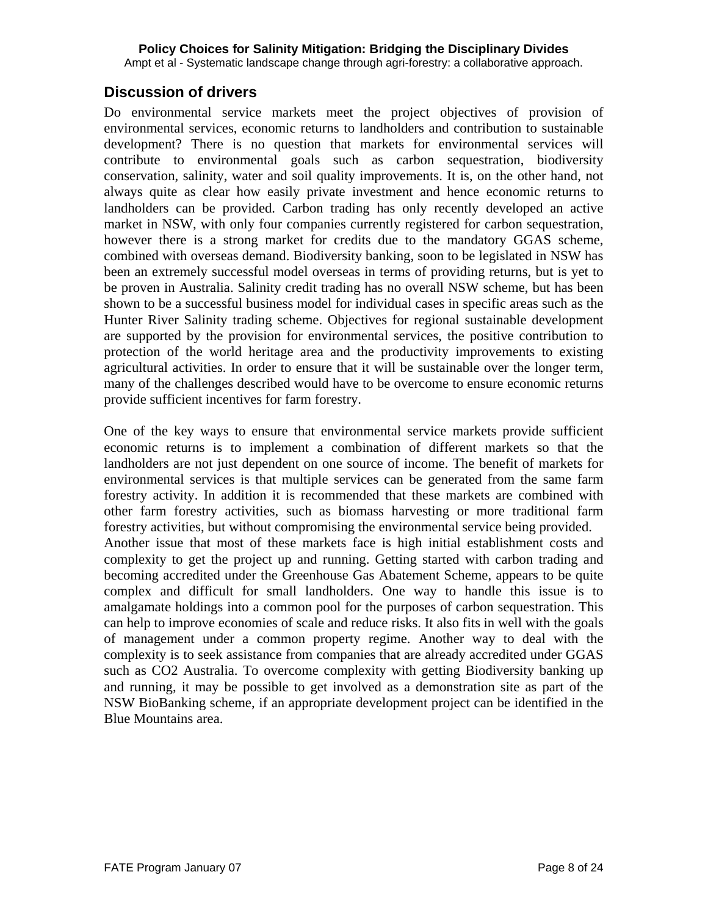### **Discussion of drivers**

Do environmental service markets meet the project objectives of provision of environmental services, economic returns to landholders and contribution to sustainable development? There is no question that markets for environmental services will contribute to environmental goals such as carbon sequestration, biodiversity conservation, salinity, water and soil quality improvements. It is, on the other hand, not always quite as clear how easily private investment and hence economic returns to landholders can be provided. Carbon trading has only recently developed an active market in NSW, with only four companies currently registered for carbon sequestration, however there is a strong market for credits due to the mandatory GGAS scheme, combined with overseas demand. Biodiversity banking, soon to be legislated in NSW has been an extremely successful model overseas in terms of providing returns, but is yet to be proven in Australia. Salinity credit trading has no overall NSW scheme, but has been shown to be a successful business model for individual cases in specific areas such as the Hunter River Salinity trading scheme. Objectives for regional sustainable development are supported by the provision for environmental services, the positive contribution to protection of the world heritage area and the productivity improvements to existing agricultural activities. In order to ensure that it will be sustainable over the longer term, many of the challenges described would have to be overcome to ensure economic returns provide sufficient incentives for farm forestry.

One of the key ways to ensure that environmental service markets provide sufficient economic returns is to implement a combination of different markets so that the landholders are not just dependent on one source of income. The benefit of markets for environmental services is that multiple services can be generated from the same farm forestry activity. In addition it is recommended that these markets are combined with other farm forestry activities, such as biomass harvesting or more traditional farm forestry activities, but without compromising the environmental service being provided. Another issue that most of these markets face is high initial establishment costs and complexity to get the project up and running. Getting started with carbon trading and becoming accredited under the Greenhouse Gas Abatement Scheme, appears to be quite complex and difficult for small landholders. One way to handle this issue is to amalgamate holdings into a common pool for the purposes of carbon sequestration. This can help to improve economies of scale and reduce risks. It also fits in well with the goals of management under a common property regime. Another way to deal with the complexity is to seek assistance from companies that are already accredited under GGAS such as CO2 Australia. To overcome complexity with getting Biodiversity banking up and running, it may be possible to get involved as a demonstration site as part of the NSW BioBanking scheme, if an appropriate development project can be identified in the Blue Mountains area.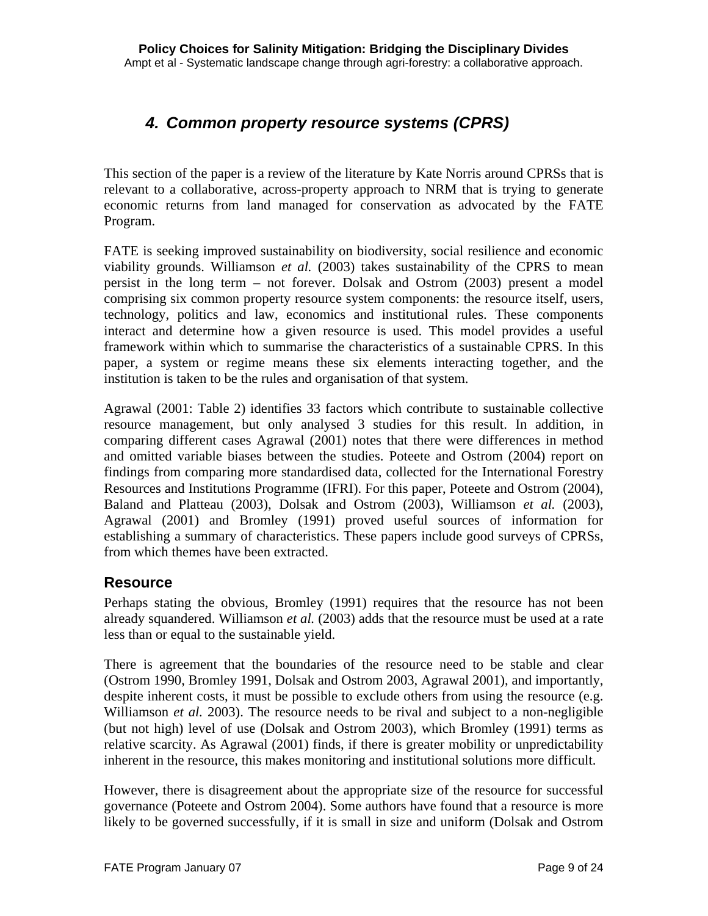# *4. Common property resource systems (CPRS)*

This section of the paper is a review of the literature by Kate Norris around CPRSs that is relevant to a collaborative, across-property approach to NRM that is trying to generate economic returns from land managed for conservation as advocated by the FATE Program.

FATE is seeking improved sustainability on biodiversity, social resilience and economic viability grounds. Williamson *et al.* (2003) takes sustainability of the CPRS to mean persist in the long term – not forever. Dolsak and Ostrom (2003) present a model comprising six common property resource system components: the resource itself, users, technology, politics and law, economics and institutional rules. These components interact and determine how a given resource is used. This model provides a useful framework within which to summarise the characteristics of a sustainable CPRS. In this paper, a system or regime means these six elements interacting together, and the institution is taken to be the rules and organisation of that system.

Agrawal (2001: Table 2) identifies 33 factors which contribute to sustainable collective resource management, but only analysed 3 studies for this result. In addition, in comparing different cases Agrawal (2001) notes that there were differences in method and omitted variable biases between the studies. Poteete and Ostrom (2004) report on findings from comparing more standardised data, collected for the International Forestry Resources and Institutions Programme (IFRI). For this paper, Poteete and Ostrom (2004), Baland and Platteau (2003), Dolsak and Ostrom (2003), Williamson *et al.* (2003), Agrawal (2001) and Bromley (1991) proved useful sources of information for establishing a summary of characteristics. These papers include good surveys of CPRSs, from which themes have been extracted.

## **Resource**

Perhaps stating the obvious, Bromley (1991) requires that the resource has not been already squandered. Williamson *et al.* (2003) adds that the resource must be used at a rate less than or equal to the sustainable yield.

There is agreement that the boundaries of the resource need to be stable and clear (Ostrom 1990, Bromley 1991, Dolsak and Ostrom 2003, Agrawal 2001), and importantly, despite inherent costs, it must be possible to exclude others from using the resource (e.g. Williamson *et al.* 2003). The resource needs to be rival and subject to a non-negligible (but not high) level of use (Dolsak and Ostrom 2003), which Bromley (1991) terms as relative scarcity. As Agrawal (2001) finds, if there is greater mobility or unpredictability inherent in the resource, this makes monitoring and institutional solutions more difficult.

However, there is disagreement about the appropriate size of the resource for successful governance (Poteete and Ostrom 2004). Some authors have found that a resource is more likely to be governed successfully, if it is small in size and uniform (Dolsak and Ostrom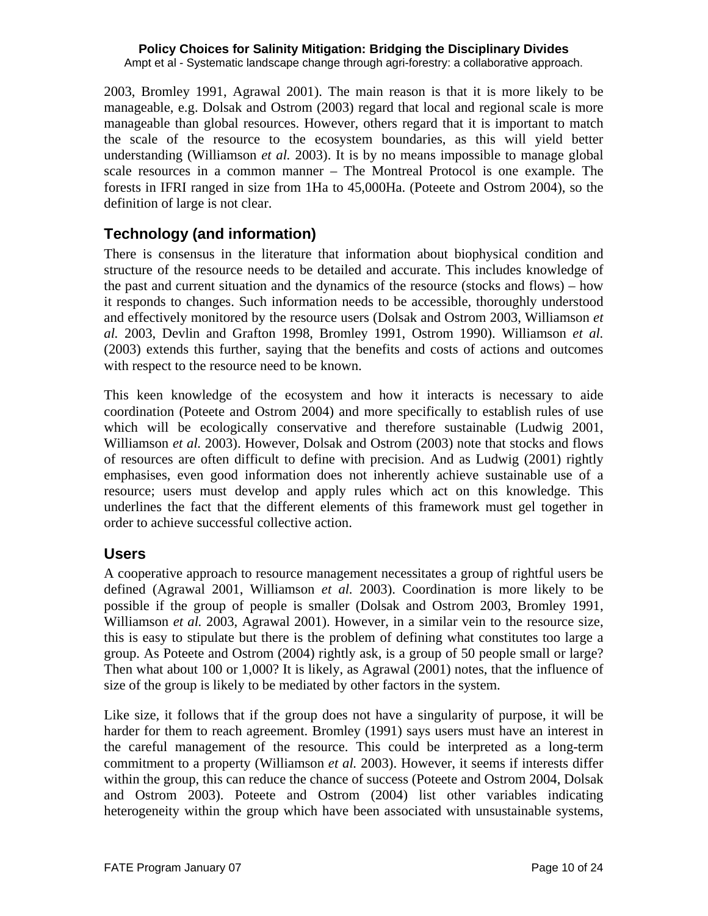2003, Bromley 1991, Agrawal 2001). The main reason is that it is more likely to be manageable, e.g. Dolsak and Ostrom (2003) regard that local and regional scale is more manageable than global resources. However, others regard that it is important to match the scale of the resource to the ecosystem boundaries, as this will yield better understanding (Williamson *et al.* 2003). It is by no means impossible to manage global scale resources in a common manner – The Montreal Protocol is one example. The forests in IFRI ranged in size from 1Ha to 45,000Ha. (Poteete and Ostrom 2004), so the definition of large is not clear.

# **Technology (and information)**

There is consensus in the literature that information about biophysical condition and structure of the resource needs to be detailed and accurate. This includes knowledge of the past and current situation and the dynamics of the resource (stocks and flows) – how it responds to changes. Such information needs to be accessible, thoroughly understood and effectively monitored by the resource users (Dolsak and Ostrom 2003, Williamson *et al.* 2003, Devlin and Grafton 1998, Bromley 1991, Ostrom 1990). Williamson *et al.* (2003) extends this further, saying that the benefits and costs of actions and outcomes with respect to the resource need to be known.

This keen knowledge of the ecosystem and how it interacts is necessary to aide coordination (Poteete and Ostrom 2004) and more specifically to establish rules of use which will be ecologically conservative and therefore sustainable (Ludwig 2001, Williamson *et al.* 2003). However, Dolsak and Ostrom (2003) note that stocks and flows of resources are often difficult to define with precision. And as Ludwig (2001) rightly emphasises, even good information does not inherently achieve sustainable use of a resource; users must develop and apply rules which act on this knowledge. This underlines the fact that the different elements of this framework must gel together in order to achieve successful collective action.

## **Users**

A cooperative approach to resource management necessitates a group of rightful users be defined (Agrawal 2001, Williamson *et al.* 2003). Coordination is more likely to be possible if the group of people is smaller (Dolsak and Ostrom 2003, Bromley 1991, Williamson *et al.* 2003, Agrawal 2001). However, in a similar vein to the resource size, this is easy to stipulate but there is the problem of defining what constitutes too large a group. As Poteete and Ostrom (2004) rightly ask, is a group of 50 people small or large? Then what about 100 or 1,000? It is likely, as Agrawal (2001) notes, that the influence of size of the group is likely to be mediated by other factors in the system.

Like size, it follows that if the group does not have a singularity of purpose, it will be harder for them to reach agreement. Bromley (1991) says users must have an interest in the careful management of the resource. This could be interpreted as a long-term commitment to a property (Williamson *et al.* 2003). However, it seems if interests differ within the group, this can reduce the chance of success (Poteete and Ostrom 2004, Dolsak and Ostrom 2003). Poteete and Ostrom (2004) list other variables indicating heterogeneity within the group which have been associated with unsustainable systems,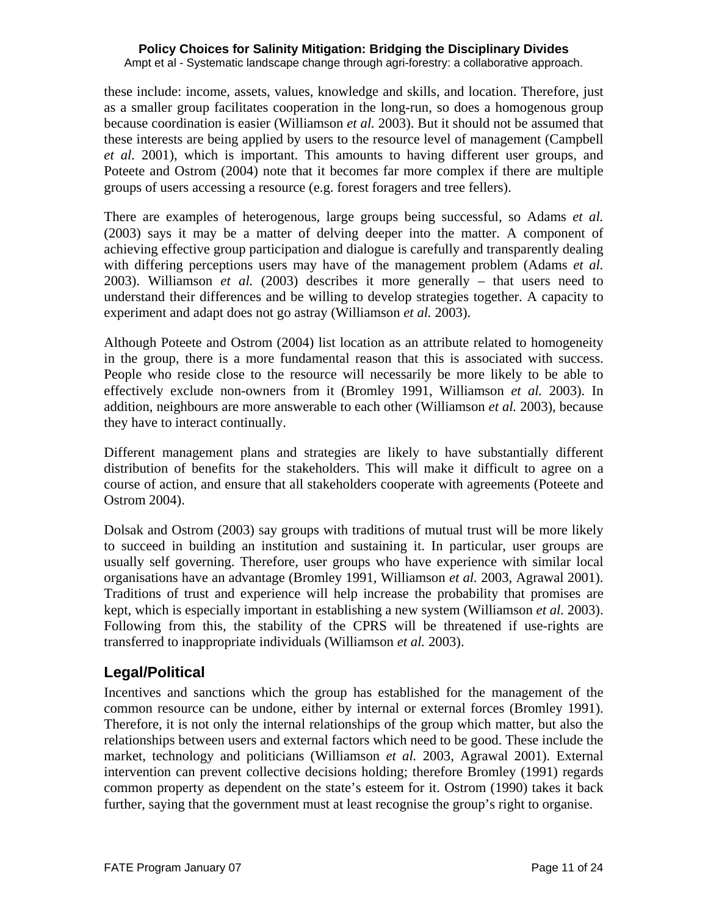Ampt et al - Systematic landscape change through agri-forestry: a collaborative approach.

these include: income, assets, values, knowledge and skills, and location. Therefore, just as a smaller group facilitates cooperation in the long-run, so does a homogenous group because coordination is easier (Williamson *et al.* 2003). But it should not be assumed that these interests are being applied by users to the resource level of management (Campbell *et al.* 2001), which is important. This amounts to having different user groups, and Poteete and Ostrom (2004) note that it becomes far more complex if there are multiple groups of users accessing a resource (e.g. forest foragers and tree fellers).

There are examples of heterogenous, large groups being successful, so Adams *et al.* (2003) says it may be a matter of delving deeper into the matter. A component of achieving effective group participation and dialogue is carefully and transparently dealing with differing perceptions users may have of the management problem (Adams *et al.* 2003). Williamson *et al.* (2003) describes it more generally – that users need to understand their differences and be willing to develop strategies together. A capacity to experiment and adapt does not go astray (Williamson *et al.* 2003).

Although Poteete and Ostrom (2004) list location as an attribute related to homogeneity in the group, there is a more fundamental reason that this is associated with success. People who reside close to the resource will necessarily be more likely to be able to effectively exclude non-owners from it (Bromley 1991, Williamson *et al.* 2003). In addition, neighbours are more answerable to each other (Williamson *et al.* 2003), because they have to interact continually.

Different management plans and strategies are likely to have substantially different distribution of benefits for the stakeholders. This will make it difficult to agree on a course of action, and ensure that all stakeholders cooperate with agreements (Poteete and Ostrom 2004).

Dolsak and Ostrom (2003) say groups with traditions of mutual trust will be more likely to succeed in building an institution and sustaining it. In particular, user groups are usually self governing. Therefore, user groups who have experience with similar local organisations have an advantage (Bromley 1991, Williamson *et al.* 2003, Agrawal 2001). Traditions of trust and experience will help increase the probability that promises are kept, which is especially important in establishing a new system (Williamson *et al.* 2003). Following from this, the stability of the CPRS will be threatened if use-rights are transferred to inappropriate individuals (Williamson *et al.* 2003).

## **Legal/Political**

Incentives and sanctions which the group has established for the management of the common resource can be undone, either by internal or external forces (Bromley 1991). Therefore, it is not only the internal relationships of the group which matter, but also the relationships between users and external factors which need to be good. These include the market, technology and politicians (Williamson *et al.* 2003, Agrawal 2001). External intervention can prevent collective decisions holding; therefore Bromley (1991) regards common property as dependent on the state's esteem for it. Ostrom (1990) takes it back further, saying that the government must at least recognise the group's right to organise.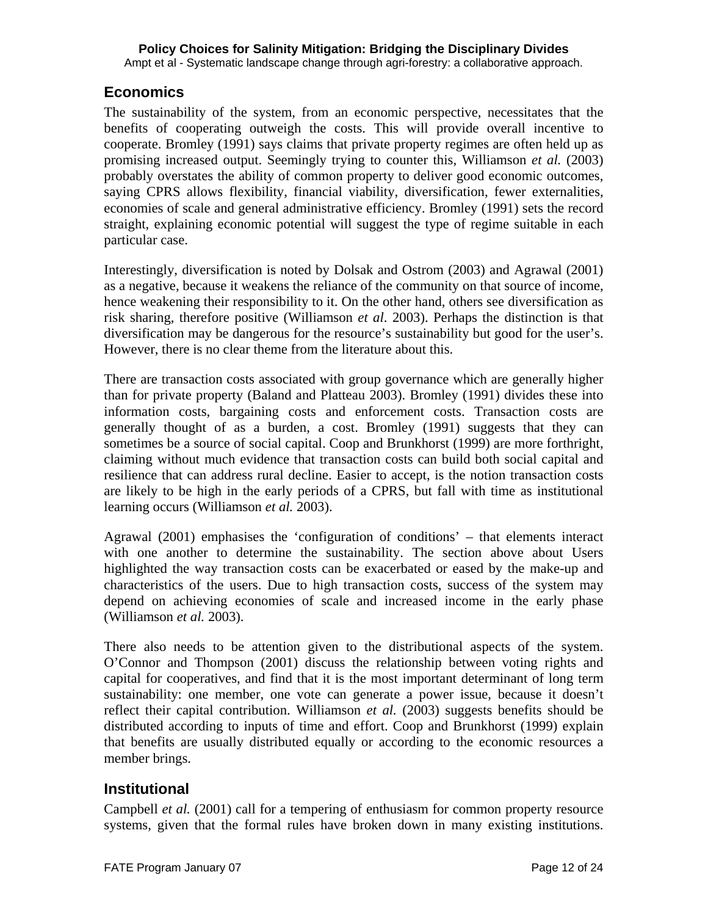## **Economics**

The sustainability of the system, from an economic perspective, necessitates that the benefits of cooperating outweigh the costs. This will provide overall incentive to cooperate. Bromley (1991) says claims that private property regimes are often held up as promising increased output. Seemingly trying to counter this, Williamson *et al.* (2003) probably overstates the ability of common property to deliver good economic outcomes, saying CPRS allows flexibility, financial viability, diversification, fewer externalities, economies of scale and general administrative efficiency. Bromley (1991) sets the record straight, explaining economic potential will suggest the type of regime suitable in each particular case.

Interestingly, diversification is noted by Dolsak and Ostrom (2003) and Agrawal (2001) as a negative, because it weakens the reliance of the community on that source of income, hence weakening their responsibility to it. On the other hand, others see diversification as risk sharing, therefore positive (Williamson *et al*. 2003). Perhaps the distinction is that diversification may be dangerous for the resource's sustainability but good for the user's. However, there is no clear theme from the literature about this.

There are transaction costs associated with group governance which are generally higher than for private property (Baland and Platteau 2003). Bromley (1991) divides these into information costs, bargaining costs and enforcement costs. Transaction costs are generally thought of as a burden, a cost. Bromley (1991) suggests that they can sometimes be a source of social capital. Coop and Brunkhorst (1999) are more forthright, claiming without much evidence that transaction costs can build both social capital and resilience that can address rural decline. Easier to accept, is the notion transaction costs are likely to be high in the early periods of a CPRS, but fall with time as institutional learning occurs (Williamson *et al.* 2003).

Agrawal (2001) emphasises the 'configuration of conditions' – that elements interact with one another to determine the sustainability. The section above about Users highlighted the way transaction costs can be exacerbated or eased by the make-up and characteristics of the users. Due to high transaction costs, success of the system may depend on achieving economies of scale and increased income in the early phase (Williamson *et al.* 2003).

There also needs to be attention given to the distributional aspects of the system. O'Connor and Thompson (2001) discuss the relationship between voting rights and capital for cooperatives, and find that it is the most important determinant of long term sustainability: one member, one vote can generate a power issue, because it doesn't reflect their capital contribution. Williamson *et al.* (2003) suggests benefits should be distributed according to inputs of time and effort. Coop and Brunkhorst (1999) explain that benefits are usually distributed equally or according to the economic resources a member brings.

## **Institutional**

Campbell *et al.* (2001) call for a tempering of enthusiasm for common property resource systems, given that the formal rules have broken down in many existing institutions.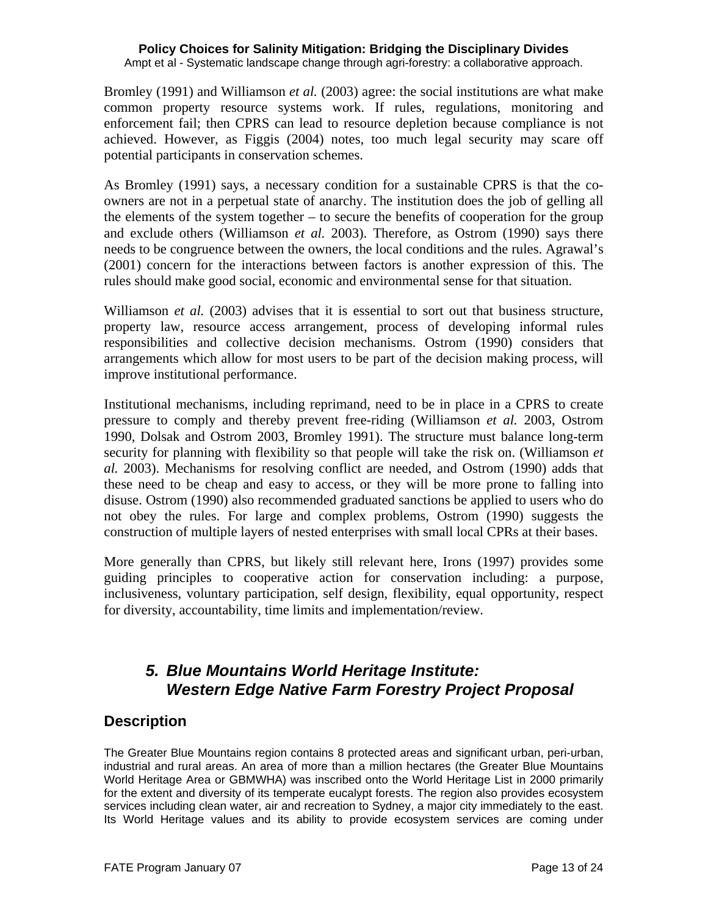Ampt et al - Systematic landscape change through agri-forestry: a collaborative approach.

Bromley (1991) and Williamson *et al.* (2003) agree: the social institutions are what make common property resource systems work. If rules, regulations, monitoring and enforcement fail; then CPRS can lead to resource depletion because compliance is not achieved. However, as Figgis (2004) notes, too much legal security may scare off potential participants in conservation schemes.

As Bromley (1991) says, a necessary condition for a sustainable CPRS is that the coowners are not in a perpetual state of anarchy. The institution does the job of gelling all the elements of the system together  $-$  to secure the benefits of cooperation for the group and exclude others (Williamson *et al.* 2003). Therefore, as Ostrom (1990) says there needs to be congruence between the owners, the local conditions and the rules. Agrawal's (2001) concern for the interactions between factors is another expression of this. The rules should make good social, economic and environmental sense for that situation.

Williamson *et al.* (2003) advises that it is essential to sort out that business structure, property law, resource access arrangement, process of developing informal rules responsibilities and collective decision mechanisms. Ostrom (1990) considers that arrangements which allow for most users to be part of the decision making process, will improve institutional performance.

Institutional mechanisms, including reprimand, need to be in place in a CPRS to create pressure to comply and thereby prevent free-riding (Williamson *et al.* 2003, Ostrom 1990, Dolsak and Ostrom 2003, Bromley 1991). The structure must balance long-term security for planning with flexibility so that people will take the risk on. (Williamson *et al.* 2003). Mechanisms for resolving conflict are needed, and Ostrom (1990) adds that these need to be cheap and easy to access, or they will be more prone to falling into disuse. Ostrom (1990) also recommended graduated sanctions be applied to users who do not obey the rules. For large and complex problems, Ostrom (1990) suggests the construction of multiple layers of nested enterprises with small local CPRs at their bases.

More generally than CPRS, but likely still relevant here, Irons (1997) provides some guiding principles to cooperative action for conservation including: a purpose, inclusiveness, voluntary participation, self design, flexibility, equal opportunity, respect for diversity, accountability, time limits and implementation/review.

# *5. Blue Mountains World Heritage Institute: Western Edge Native Farm Forestry Project Proposal*

## **Description**

The Greater Blue Mountains region contains 8 protected areas and significant urban, peri-urban, industrial and rural areas. An area of more than a million hectares (the Greater Blue Mountains World Heritage Area or GBMWHA) was inscribed onto the World Heritage List in 2000 primarily for the extent and diversity of its temperate eucalypt forests. The region also provides ecosystem services including clean water, air and recreation to Sydney, a major city immediately to the east. Its World Heritage values and its ability to provide ecosystem services are coming under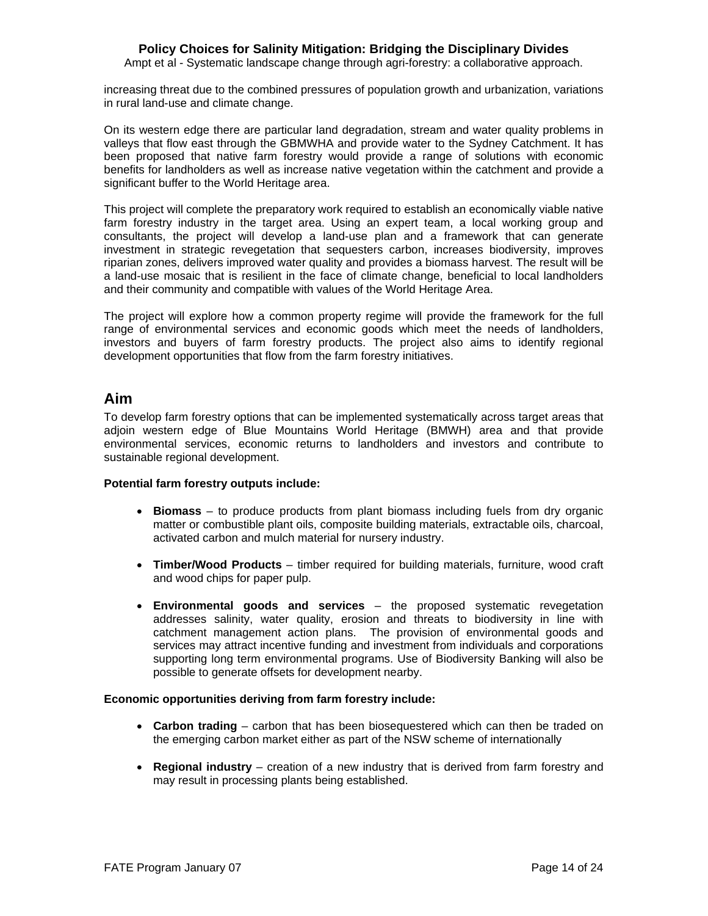Ampt et al - Systematic landscape change through agri-forestry: a collaborative approach.

increasing threat due to the combined pressures of population growth and urbanization, variations in rural land-use and climate change.

On its western edge there are particular land degradation, stream and water quality problems in valleys that flow east through the GBMWHA and provide water to the Sydney Catchment. It has been proposed that native farm forestry would provide a range of solutions with economic benefits for landholders as well as increase native vegetation within the catchment and provide a significant buffer to the World Heritage area.

This project will complete the preparatory work required to establish an economically viable native farm forestry industry in the target area. Using an expert team, a local working group and consultants, the project will develop a land-use plan and a framework that can generate investment in strategic revegetation that sequesters carbon, increases biodiversity, improves riparian zones, delivers improved water quality and provides a biomass harvest. The result will be a land-use mosaic that is resilient in the face of climate change, beneficial to local landholders and their community and compatible with values of the World Heritage Area.

The project will explore how a common property regime will provide the framework for the full range of environmental services and economic goods which meet the needs of landholders, investors and buyers of farm forestry products. The project also aims to identify regional development opportunities that flow from the farm forestry initiatives.

### **Aim**

To develop farm forestry options that can be implemented systematically across target areas that adjoin western edge of Blue Mountains World Heritage (BMWH) area and that provide environmental services, economic returns to landholders and investors and contribute to sustainable regional development.

#### **Potential farm forestry outputs include:**

- **Biomass** to produce products from plant biomass including fuels from dry organic matter or combustible plant oils, composite building materials, extractable oils, charcoal, activated carbon and mulch material for nursery industry.
- **Timber/Wood Products** timber required for building materials, furniture, wood craft and wood chips for paper pulp.
- **Environmental goods and services** the proposed systematic revegetation addresses salinity, water quality, erosion and threats to biodiversity in line with catchment management action plans. The provision of environmental goods and services may attract incentive funding and investment from individuals and corporations supporting long term environmental programs. Use of Biodiversity Banking will also be possible to generate offsets for development nearby.

#### **Economic opportunities deriving from farm forestry include:**

- **Carbon trading** carbon that has been biosequestered which can then be traded on the emerging carbon market either as part of the NSW scheme of internationally
- **Regional industry** creation of a new industry that is derived from farm forestry and may result in processing plants being established.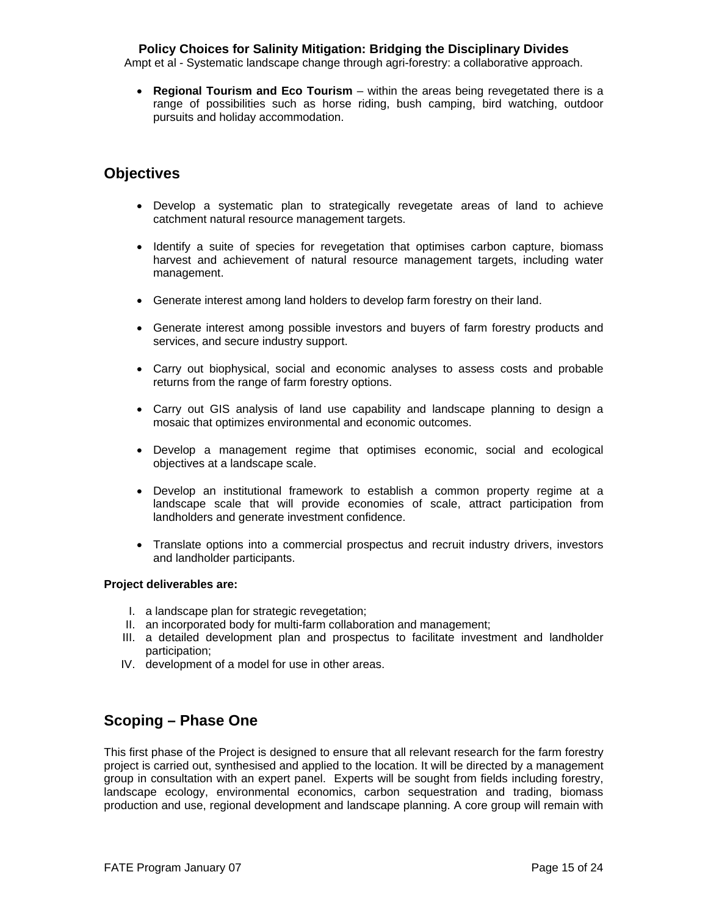Ampt et al - Systematic landscape change through agri-forestry: a collaborative approach.

• **Regional Tourism and Eco Tourism** – within the areas being revegetated there is a range of possibilities such as horse riding, bush camping, bird watching, outdoor pursuits and holiday accommodation.

## **Objectives**

- Develop a systematic plan to strategically revegetate areas of land to achieve catchment natural resource management targets.
- Identify a suite of species for revegetation that optimises carbon capture, biomass harvest and achievement of natural resource management targets, including water management.
- Generate interest among land holders to develop farm forestry on their land.
- Generate interest among possible investors and buyers of farm forestry products and services, and secure industry support.
- Carry out biophysical, social and economic analyses to assess costs and probable returns from the range of farm forestry options.
- Carry out GIS analysis of land use capability and landscape planning to design a mosaic that optimizes environmental and economic outcomes.
- Develop a management regime that optimises economic, social and ecological objectives at a landscape scale.
- Develop an institutional framework to establish a common property regime at a landscape scale that will provide economies of scale, attract participation from landholders and generate investment confidence.
- Translate options into a commercial prospectus and recruit industry drivers, investors and landholder participants.

#### **Project deliverables are:**

- I. a landscape plan for strategic revegetation;
- II. an incorporated body for multi-farm collaboration and management;
- III. a detailed development plan and prospectus to facilitate investment and landholder participation;
- IV. development of a model for use in other areas.

## **Scoping – Phase One**

This first phase of the Project is designed to ensure that all relevant research for the farm forestry project is carried out, synthesised and applied to the location. It will be directed by a management group in consultation with an expert panel. Experts will be sought from fields including forestry, landscape ecology, environmental economics, carbon sequestration and trading, biomass production and use, regional development and landscape planning. A core group will remain with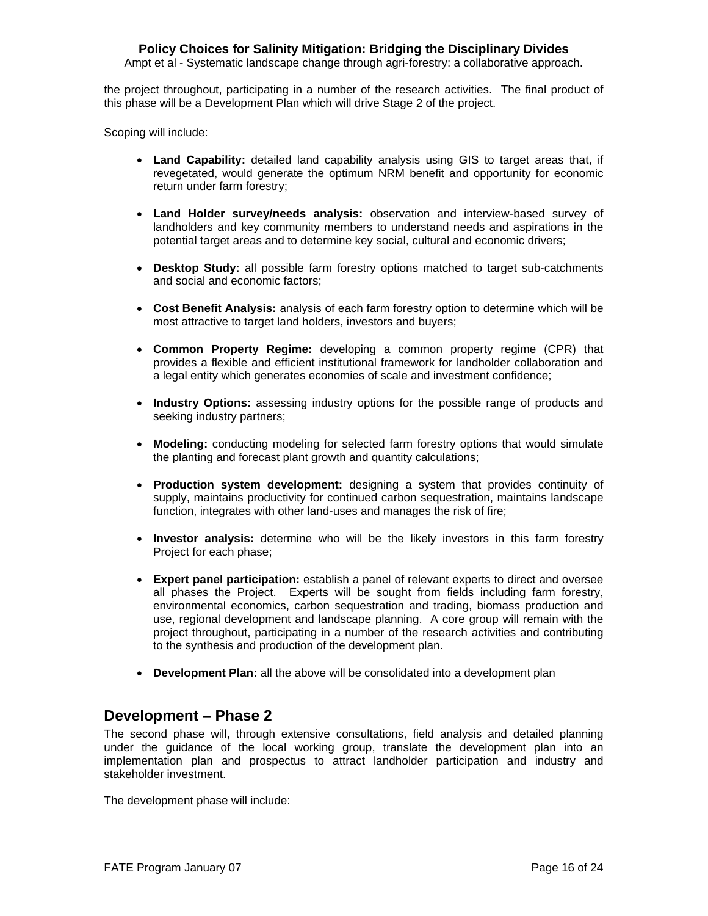Ampt et al - Systematic landscape change through agri-forestry: a collaborative approach.

the project throughout, participating in a number of the research activities. The final product of this phase will be a Development Plan which will drive Stage 2 of the project.

Scoping will include:

- **Land Capability:** detailed land capability analysis using GIS to target areas that, if revegetated, would generate the optimum NRM benefit and opportunity for economic return under farm forestry;
- **Land Holder survey/needs analysis:** observation and interview-based survey of landholders and key community members to understand needs and aspirations in the potential target areas and to determine key social, cultural and economic drivers;
- **Desktop Study:** all possible farm forestry options matched to target sub-catchments and social and economic factors;
- **Cost Benefit Analysis:** analysis of each farm forestry option to determine which will be most attractive to target land holders, investors and buyers;
- **Common Property Regime:** developing a common property regime (CPR) that provides a flexible and efficient institutional framework for landholder collaboration and a legal entity which generates economies of scale and investment confidence;
- **Industry Options:** assessing industry options for the possible range of products and seeking industry partners;
- **Modeling:** conducting modeling for selected farm forestry options that would simulate the planting and forecast plant growth and quantity calculations;
- **Production system development:** designing a system that provides continuity of supply, maintains productivity for continued carbon sequestration, maintains landscape function, integrates with other land-uses and manages the risk of fire;
- **Investor analysis:** determine who will be the likely investors in this farm forestry Project for each phase;
- **Expert panel participation:** establish a panel of relevant experts to direct and oversee all phases the Project. Experts will be sought from fields including farm forestry, environmental economics, carbon sequestration and trading, biomass production and use, regional development and landscape planning. A core group will remain with the project throughout, participating in a number of the research activities and contributing to the synthesis and production of the development plan.
- **Development Plan:** all the above will be consolidated into a development plan

### **Development – Phase 2**

The second phase will, through extensive consultations, field analysis and detailed planning under the guidance of the local working group, translate the development plan into an implementation plan and prospectus to attract landholder participation and industry and stakeholder investment.

The development phase will include: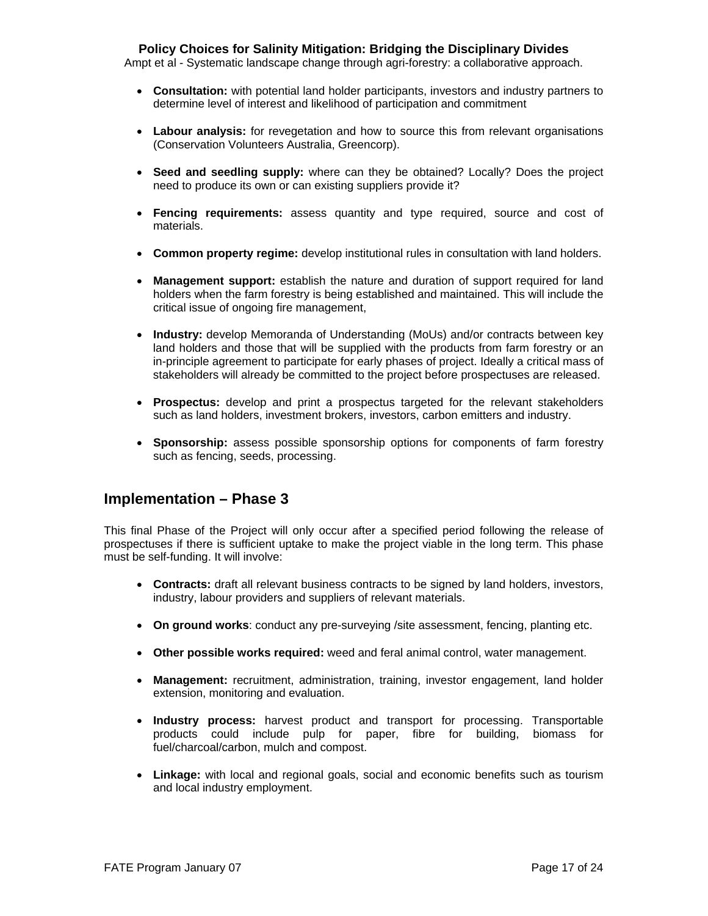Ampt et al - Systematic landscape change through agri-forestry: a collaborative approach.

- **Consultation:** with potential land holder participants, investors and industry partners to determine level of interest and likelihood of participation and commitment
- **Labour analysis:** for revegetation and how to source this from relevant organisations (Conservation Volunteers Australia, Greencorp).
- **Seed and seedling supply:** where can they be obtained? Locally? Does the project need to produce its own or can existing suppliers provide it?
- **Fencing requirements:** assess quantity and type required, source and cost of materials.
- **Common property regime:** develop institutional rules in consultation with land holders.
- **Management support:** establish the nature and duration of support required for land holders when the farm forestry is being established and maintained. This will include the critical issue of ongoing fire management,
- **Industry:** develop Memoranda of Understanding (MoUs) and/or contracts between key land holders and those that will be supplied with the products from farm forestry or an in-principle agreement to participate for early phases of project. Ideally a critical mass of stakeholders will already be committed to the project before prospectuses are released.
- **Prospectus:** develop and print a prospectus targeted for the relevant stakeholders such as land holders, investment brokers, investors, carbon emitters and industry.
- **Sponsorship:** assess possible sponsorship options for components of farm forestry such as fencing, seeds, processing.

### **Implementation – Phase 3**

This final Phase of the Project will only occur after a specified period following the release of prospectuses if there is sufficient uptake to make the project viable in the long term. This phase must be self-funding. It will involve:

- **Contracts:** draft all relevant business contracts to be signed by land holders, investors, industry, labour providers and suppliers of relevant materials.
- **On ground works**: conduct any pre-surveying /site assessment, fencing, planting etc.
- **Other possible works required:** weed and feral animal control, water management.
- **Management:** recruitment, administration, training, investor engagement, land holder extension, monitoring and evaluation.
- **Industry process:** harvest product and transport for processing. Transportable products could include pulp for paper, fibre for building, biomass for fuel/charcoal/carbon, mulch and compost.
- **Linkage:** with local and regional goals, social and economic benefits such as tourism and local industry employment.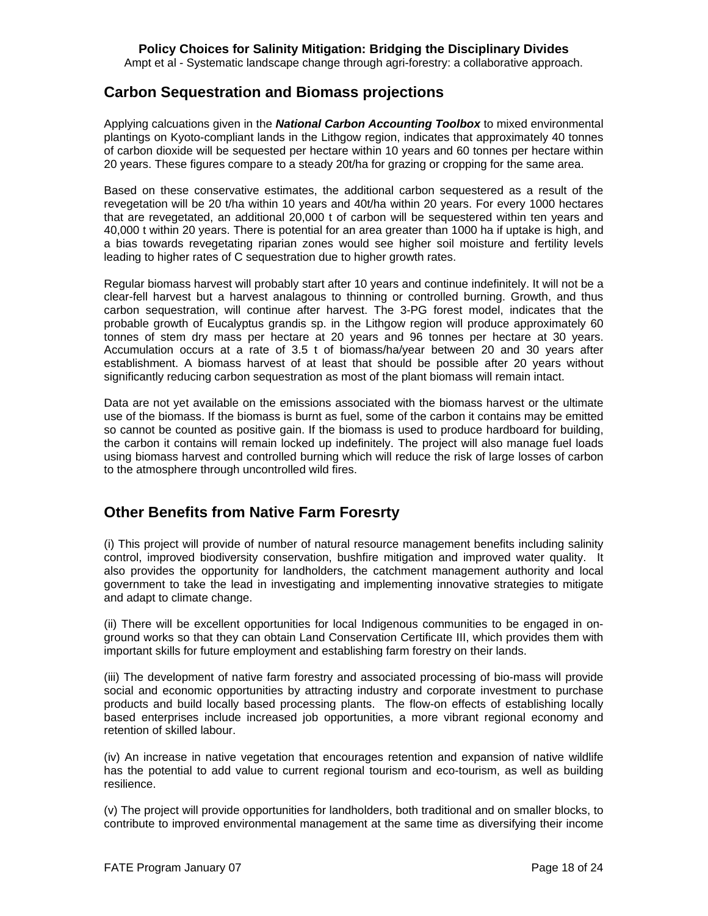Ampt et al - Systematic landscape change through agri-forestry: a collaborative approach.

### **Carbon Sequestration and Biomass projections**

Applying calcuations given in the *National Carbon Accounting Toolbox* to mixed environmental plantings on Kyoto-compliant lands in the Lithgow region, indicates that approximately 40 tonnes of carbon dioxide will be sequested per hectare within 10 years and 60 tonnes per hectare within 20 years. These figures compare to a steady 20t/ha for grazing or cropping for the same area.

Based on these conservative estimates, the additional carbon sequestered as a result of the revegetation will be 20 t/ha within 10 years and 40t/ha within 20 years. For every 1000 hectares that are revegetated, an additional 20,000 t of carbon will be sequestered within ten years and 40,000 t within 20 years. There is potential for an area greater than 1000 ha if uptake is high, and a bias towards revegetating riparian zones would see higher soil moisture and fertility levels leading to higher rates of C sequestration due to higher growth rates.

Regular biomass harvest will probably start after 10 years and continue indefinitely. It will not be a clear-fell harvest but a harvest analagous to thinning or controlled burning. Growth, and thus carbon sequestration, will continue after harvest. The 3-PG forest model, indicates that the probable growth of Eucalyptus grandis sp. in the Lithgow region will produce approximately 60 tonnes of stem dry mass per hectare at 20 years and 96 tonnes per hectare at 30 years. Accumulation occurs at a rate of 3.5 t of biomass/ha/year between 20 and 30 years after establishment. A biomass harvest of at least that should be possible after 20 years without significantly reducing carbon sequestration as most of the plant biomass will remain intact.

Data are not yet available on the emissions associated with the biomass harvest or the ultimate use of the biomass. If the biomass is burnt as fuel, some of the carbon it contains may be emitted so cannot be counted as positive gain. If the biomass is used to produce hardboard for building, the carbon it contains will remain locked up indefinitely. The project will also manage fuel loads using biomass harvest and controlled burning which will reduce the risk of large losses of carbon to the atmosphere through uncontrolled wild fires.

## **Other Benefits from Native Farm Foresrty**

(i) This project will provide of number of natural resource management benefits including salinity control, improved biodiversity conservation, bushfire mitigation and improved water quality. It also provides the opportunity for landholders, the catchment management authority and local government to take the lead in investigating and implementing innovative strategies to mitigate and adapt to climate change.

(ii) There will be excellent opportunities for local Indigenous communities to be engaged in onground works so that they can obtain Land Conservation Certificate III, which provides them with important skills for future employment and establishing farm forestry on their lands.

(iii) The development of native farm forestry and associated processing of bio-mass will provide social and economic opportunities by attracting industry and corporate investment to purchase products and build locally based processing plants. The flow-on effects of establishing locally based enterprises include increased job opportunities, a more vibrant regional economy and retention of skilled labour.

(iv) An increase in native vegetation that encourages retention and expansion of native wildlife has the potential to add value to current regional tourism and eco-tourism, as well as building resilience.

(v) The project will provide opportunities for landholders, both traditional and on smaller blocks, to contribute to improved environmental management at the same time as diversifying their income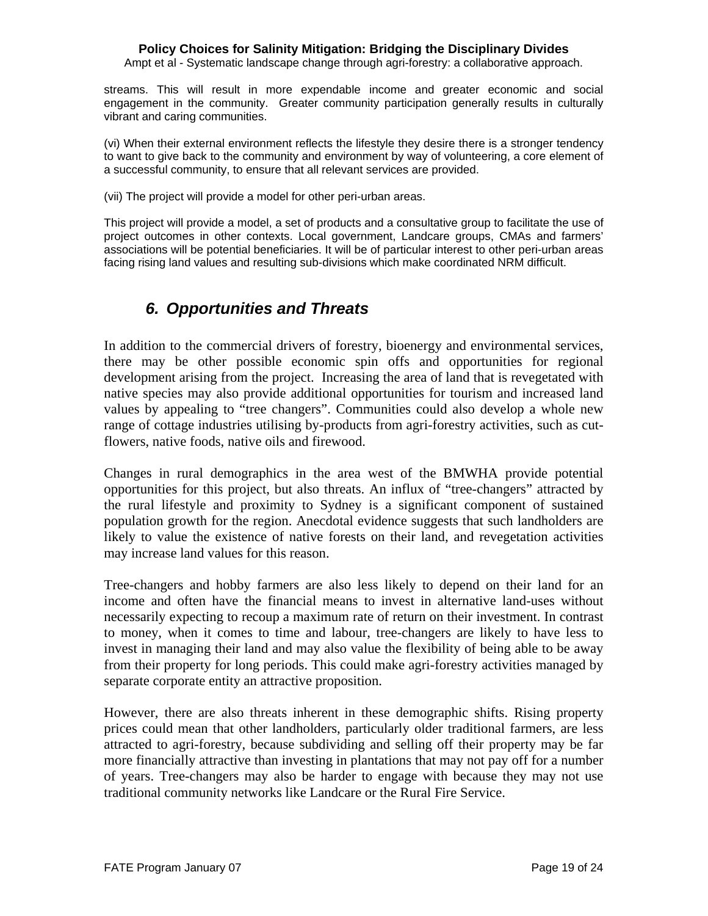Ampt et al - Systematic landscape change through agri-forestry: a collaborative approach.

streams. This will result in more expendable income and greater economic and social engagement in the community. Greater community participation generally results in culturally vibrant and caring communities.

(vi) When their external environment reflects the lifestyle they desire there is a stronger tendency to want to give back to the community and environment by way of volunteering, a core element of a successful community, to ensure that all relevant services are provided.

(vii) The project will provide a model for other peri-urban areas.

This project will provide a model, a set of products and a consultative group to facilitate the use of project outcomes in other contexts. Local government, Landcare groups, CMAs and farmers' associations will be potential beneficiaries. It will be of particular interest to other peri-urban areas facing rising land values and resulting sub-divisions which make coordinated NRM difficult.

# *6. Opportunities and Threats*

In addition to the commercial drivers of forestry, bioenergy and environmental services, there may be other possible economic spin offs and opportunities for regional development arising from the project. Increasing the area of land that is revegetated with native species may also provide additional opportunities for tourism and increased land values by appealing to "tree changers". Communities could also develop a whole new range of cottage industries utilising by-products from agri-forestry activities, such as cutflowers, native foods, native oils and firewood.

Changes in rural demographics in the area west of the BMWHA provide potential opportunities for this project, but also threats. An influx of "tree-changers" attracted by the rural lifestyle and proximity to Sydney is a significant component of sustained population growth for the region. Anecdotal evidence suggests that such landholders are likely to value the existence of native forests on their land, and revegetation activities may increase land values for this reason.

Tree-changers and hobby farmers are also less likely to depend on their land for an income and often have the financial means to invest in alternative land-uses without necessarily expecting to recoup a maximum rate of return on their investment. In contrast to money, when it comes to time and labour, tree-changers are likely to have less to invest in managing their land and may also value the flexibility of being able to be away from their property for long periods. This could make agri-forestry activities managed by separate corporate entity an attractive proposition.

However, there are also threats inherent in these demographic shifts. Rising property prices could mean that other landholders, particularly older traditional farmers, are less attracted to agri-forestry, because subdividing and selling off their property may be far more financially attractive than investing in plantations that may not pay off for a number of years. Tree-changers may also be harder to engage with because they may not use traditional community networks like Landcare or the Rural Fire Service.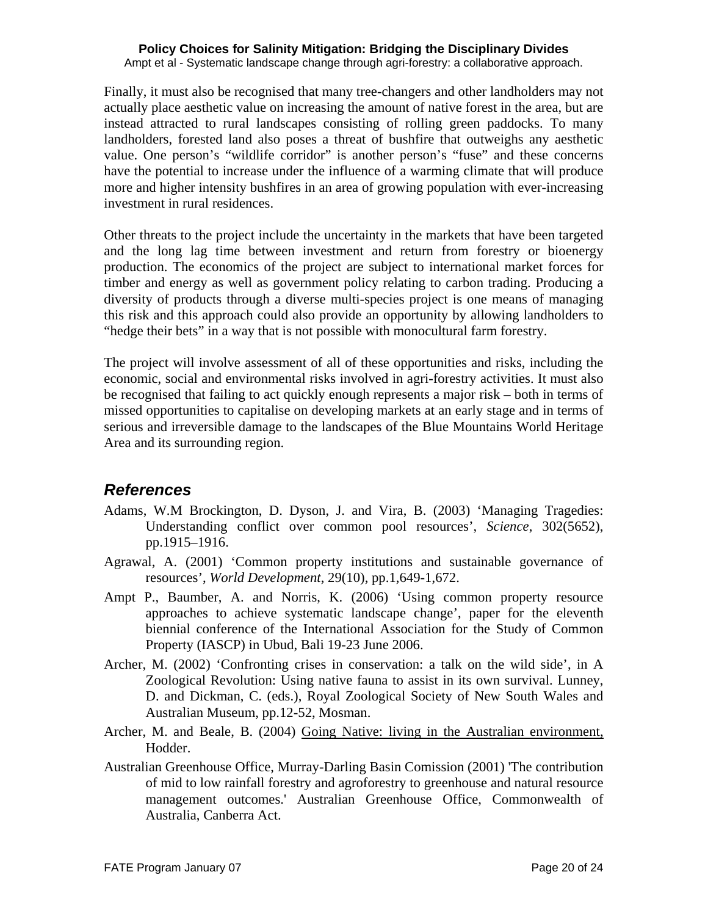Ampt et al - Systematic landscape change through agri-forestry: a collaborative approach.

Finally, it must also be recognised that many tree-changers and other landholders may not actually place aesthetic value on increasing the amount of native forest in the area, but are instead attracted to rural landscapes consisting of rolling green paddocks. To many landholders, forested land also poses a threat of bushfire that outweighs any aesthetic value. One person's "wildlife corridor" is another person's "fuse" and these concerns have the potential to increase under the influence of a warming climate that will produce more and higher intensity bushfires in an area of growing population with ever-increasing investment in rural residences.

Other threats to the project include the uncertainty in the markets that have been targeted and the long lag time between investment and return from forestry or bioenergy production. The economics of the project are subject to international market forces for timber and energy as well as government policy relating to carbon trading. Producing a diversity of products through a diverse multi-species project is one means of managing this risk and this approach could also provide an opportunity by allowing landholders to "hedge their bets" in a way that is not possible with monocultural farm forestry.

The project will involve assessment of all of these opportunities and risks, including the economic, social and environmental risks involved in agri-forestry activities. It must also be recognised that failing to act quickly enough represents a major risk – both in terms of missed opportunities to capitalise on developing markets at an early stage and in terms of serious and irreversible damage to the landscapes of the Blue Mountains World Heritage Area and its surrounding region.

## *References*

- Adams, W.M Brockington, D. Dyson, J. and Vira, B. (2003) 'Managing Tragedies: Understanding conflict over common pool resources', *Science*, 302(5652), pp.1915–1916.
- Agrawal, A. (2001) 'Common property institutions and sustainable governance of resources', *World Development*, 29(10), pp.1,649-1,672.
- Ampt P., Baumber, A. and Norris, K. (2006) 'Using common property resource approaches to achieve systematic landscape change', paper for the eleventh biennial conference of the International Association for the Study of Common Property (IASCP) in Ubud, Bali 19-23 June 2006.
- Archer, M. (2002) 'Confronting crises in conservation: a talk on the wild side', in A Zoological Revolution: Using native fauna to assist in its own survival. Lunney, D. and Dickman, C. (eds.), Royal Zoological Society of New South Wales and Australian Museum, pp.12-52, Mosman.
- Archer, M. and Beale, B. (2004) Going Native: living in the Australian environment, Hodder.
- Australian Greenhouse Office, Murray-Darling Basin Comission (2001) 'The contribution of mid to low rainfall forestry and agroforestry to greenhouse and natural resource management outcomes.' Australian Greenhouse Office, Commonwealth of Australia, Canberra Act.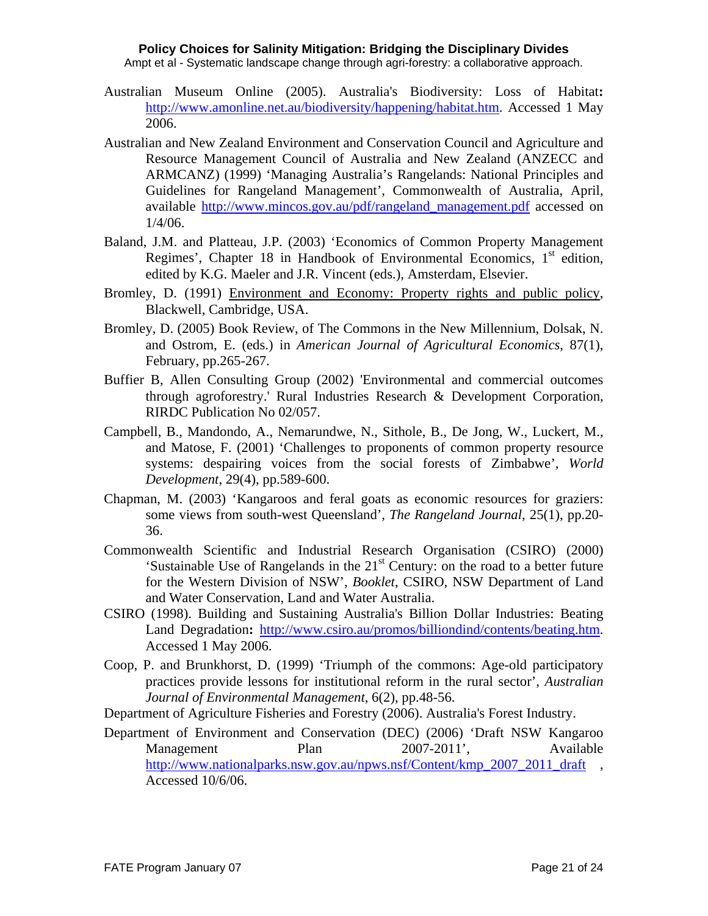Ampt et al - Systematic landscape change through agri-forestry: a collaborative approach.

- Australian Museum Online (2005). Australia's Biodiversity: Loss of Habitat**:**  [http://www.amonline.net.au/biodiversity/happening/habitat.htm.](http://www.amonline.net.au/biodiversity/happening/habitat.htm) Accessed 1 May 2006.
- Australian and New Zealand Environment and Conservation Council and Agriculture and Resource Management Council of Australia and New Zealand (ANZECC and ARMCANZ) (1999) 'Managing Australia's Rangelands: National Principles and Guidelines for Rangeland Management', Commonwealth of Australia, April, available [http://www.mincos.gov.au/pdf/rangeland\\_management.pdf](http://www.mincos.gov.au/pdf/rangeland_management.pdf%20accessed%20on%201/4/06) accessed on 1/4/06.
- Baland, J.M. and Platteau, J.P. (2003) 'Economics of Common Property Management Regimes', Chapter 18 in Handbook of Environmental Economics,  $1<sup>st</sup>$  edition, edited by K.G. Maeler and J.R. Vincent (eds.), Amsterdam, Elsevier.
- Bromley, D. (1991) Environment and Economy: Property rights and public policy, Blackwell, Cambridge, USA.
- Bromley, D. (2005) Book Review, of The Commons in the New Millennium, Dolsak, N. and Ostrom, E. (eds.) in *American Journal of Agricultural Economics*, 87(1), February, pp.265-267.
- Buffier B, Allen Consulting Group (2002) 'Environmental and commercial outcomes through agroforestry.' Rural Industries Research & Development Corporation, RIRDC Publication No 02/057.
- Campbell, B., Mandondo, A., Nemarundwe, N., Sithole, B., De Jong, W., Luckert, M., and Matose, F. (2001) 'Challenges to proponents of common property resource systems: despairing voices from the social forests of Zimbabwe', *World Development*, 29(4), pp.589-600.
- Chapman, M. (2003) 'Kangaroos and feral goats as economic resources for graziers: some views from south-west Queensland', *The Rangeland Journal*, 25(1), pp.20- 36.
- Commonwealth Scientific and Industrial Research Organisation (CSIRO) (2000) 'Sustainable Use of Rangelands in the  $21<sup>st</sup>$  Century: on the road to a better future for the Western Division of NSW', *Booklet*, CSIRO, NSW Department of Land and Water Conservation, Land and Water Australia.
- CSIRO (1998). Building and Sustaining Australia's Billion Dollar Industries: Beating Land Degradation**:** [http://www.csiro.au/promos/billiondind/contents/beating.htm.](http://www.csiro.au/promos/billiondind/contents/beating.htm) Accessed 1 May 2006.
- Coop, P. and Brunkhorst, D. (1999) 'Triumph of the commons: Age-old participatory practices provide lessons for institutional reform in the rural sector', *Australian Journal of Environmental Management*, 6(2), pp.48-56.
- Department of Agriculture Fisheries and Forestry (2006). Australia's Forest Industry.
- Department of Environment and Conservation (DEC) (2006) 'Draft NSW Kangaroo Management Plan 2007-2011', Available [http://www.nationalparks.nsw.gov.au/npws.nsf/Content/kmp\\_2007\\_2011\\_draft](http://www.nationalparks.nsw.gov.au/npws.nsf/Content/kmp_2007_2011_draft) , Accessed 10/6/06.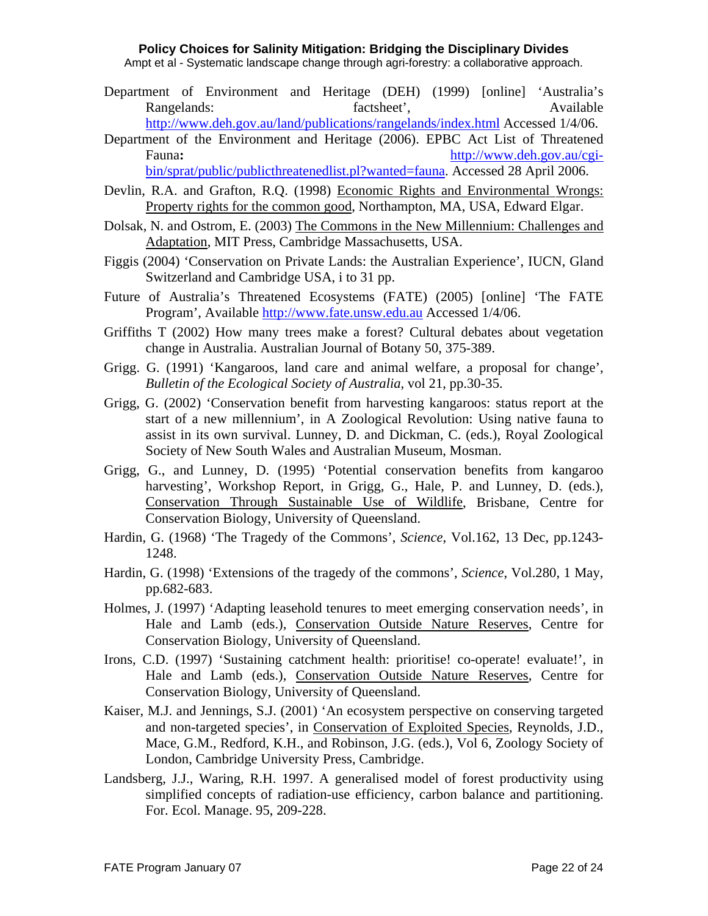Ampt et al - Systematic landscape change through agri-forestry: a collaborative approach.

- Department of Environment and Heritage (DEH) (1999) [online] 'Australia's Rangelands: factsheet', Available Available <http://www.deh.gov.au/land/publications/rangelands/index.html>Accessed 1/4/06.
- Department of the Environment and Heritage (2006). EPBC Act List of Threatened Fauna**:** [http://www.deh.gov.au/cgi-](http://www.deh.gov.au/cgi-bin/sprat/public/publicthreatenedlist.pl?wanted=fauna)

[bin/sprat/public/publicthreatenedlist.pl?wanted=fauna](http://www.deh.gov.au/cgi-bin/sprat/public/publicthreatenedlist.pl?wanted=fauna). Accessed 28 April 2006.

- Devlin, R.A. and Grafton, R.Q. (1998) Economic Rights and Environmental Wrongs: Property rights for the common good, Northampton, MA, USA, Edward Elgar.
- Dolsak, N. and Ostrom, E. (2003) The Commons in the New Millennium: Challenges and Adaptation, MIT Press, Cambridge Massachusetts, USA.
- Figgis (2004) 'Conservation on Private Lands: the Australian Experience', IUCN, Gland Switzerland and Cambridge USA, i to 31 pp.
- Future of Australia's Threatened Ecosystems (FATE) (2005) [online] 'The FATE Program', Available [http://www.fate.unsw.edu.au](http://www.fate.unsw.edu.au/) Accessed 1/4/06.
- Griffiths T (2002) How many trees make a forest? Cultural debates about vegetation change in Australia. Australian Journal of Botany 50, 375-389.
- Grigg. G. (1991) 'Kangaroos, land care and animal welfare, a proposal for change', *Bulletin of the Ecological Society of Australia*, vol 21, pp.30-35.
- Grigg, G. (2002) 'Conservation benefit from harvesting kangaroos: status report at the start of a new millennium', in A Zoological Revolution: Using native fauna to assist in its own survival. Lunney, D. and Dickman, C. (eds.), Royal Zoological Society of New South Wales and Australian Museum, Mosman.
- Grigg, G., and Lunney, D. (1995) 'Potential conservation benefits from kangaroo harvesting', Workshop Report, in Grigg, G., Hale, P. and Lunney, D. (eds.), Conservation Through Sustainable Use of Wildlife, Brisbane, Centre for Conservation Biology, University of Queensland.
- Hardin, G. (1968) 'The Tragedy of the Commons', *Science*, Vol.162, 13 Dec, pp.1243- 1248.
- Hardin, G. (1998) 'Extensions of the tragedy of the commons', *Science*, Vol.280, 1 May, pp.682-683.
- Holmes, J. (1997) 'Adapting leasehold tenures to meet emerging conservation needs', in Hale and Lamb (eds.), Conservation Outside Nature Reserves, Centre for Conservation Biology, University of Queensland.
- Irons, C.D. (1997) 'Sustaining catchment health: prioritise! co-operate! evaluate!', in Hale and Lamb (eds.), Conservation Outside Nature Reserves, Centre for Conservation Biology, University of Queensland.
- Kaiser, M.J. and Jennings, S.J. (2001) 'An ecosystem perspective on conserving targeted and non-targeted species', in Conservation of Exploited Species, Reynolds, J.D., Mace, G.M., Redford, K.H., and Robinson, J.G. (eds.), Vol 6, Zoology Society of London, Cambridge University Press, Cambridge.
- Landsberg, J.J., Waring, R.H. 1997. A generalised model of forest productivity using simplified concepts of radiation-use efficiency, carbon balance and partitioning. For. Ecol. Manage. 95, 209-228.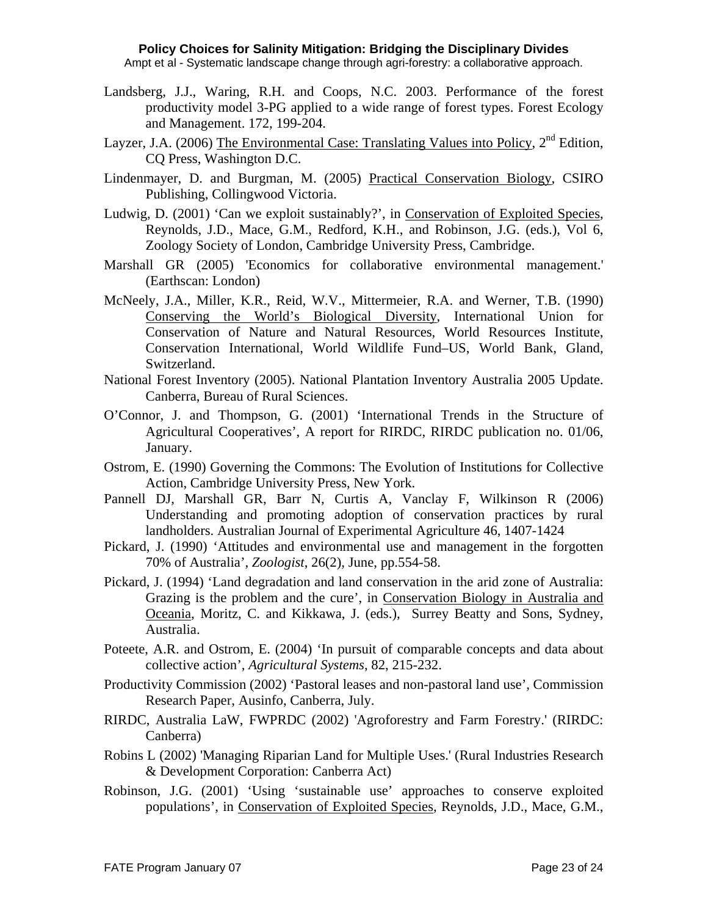- Landsberg, J.J., Waring, R.H. and Coops, N.C. 2003. Performance of the forest productivity model 3-PG applied to a wide range of forest types. Forest Ecology and Management. 172, 199-204.
- Layzer, J.A. (2006) The Environmental Case: Translating Values into Policy,  $2<sup>nd</sup>$  Edition, CQ Press, Washington D.C.
- Lindenmayer, D. and Burgman, M. (2005) Practical Conservation Biology, CSIRO Publishing, Collingwood Victoria.
- Ludwig, D. (2001) 'Can we exploit sustainably?', in Conservation of Exploited Species, Reynolds, J.D., Mace, G.M., Redford, K.H., and Robinson, J.G. (eds.), Vol 6, Zoology Society of London, Cambridge University Press, Cambridge.
- Marshall GR (2005) 'Economics for collaborative environmental management.' (Earthscan: London)
- McNeely, J.A., Miller, K.R., Reid, W.V., Mittermeier, R.A. and Werner, T.B. (1990) Conserving the World's Biological Diversity, International Union for Conservation of Nature and Natural Resources, World Resources Institute, Conservation International, World Wildlife Fund–US, World Bank, Gland, Switzerland.
- National Forest Inventory (2005). National Plantation Inventory Australia 2005 Update. Canberra, Bureau of Rural Sciences.
- O'Connor, J. and Thompson, G. (2001) 'International Trends in the Structure of Agricultural Cooperatives', A report for RIRDC, RIRDC publication no. 01/06, January.
- Ostrom, E. (1990) Governing the Commons: The Evolution of Institutions for Collective Action, Cambridge University Press, New York.
- Pannell DJ, Marshall GR, Barr N, Curtis A, Vanclay F, Wilkinson R (2006) Understanding and promoting adoption of conservation practices by rural landholders. Australian Journal of Experimental Agriculture 46, 1407-1424
- Pickard, J. (1990) 'Attitudes and environmental use and management in the forgotten 70% of Australia', *Zoologist*, 26(2), June, pp.554-58.
- Pickard, J. (1994) 'Land degradation and land conservation in the arid zone of Australia: Grazing is the problem and the cure', in Conservation Biology in Australia and Oceania, Moritz, C. and Kikkawa, J. (eds.), Surrey Beatty and Sons, Sydney, Australia.
- Poteete, A.R. and Ostrom, E. (2004) 'In pursuit of comparable concepts and data about collective action', *Agricultural Systems*, 82, 215-232.
- Productivity Commission (2002) 'Pastoral leases and non-pastoral land use', Commission Research Paper, Ausinfo, Canberra, July.
- RIRDC, Australia LaW, FWPRDC (2002) 'Agroforestry and Farm Forestry.' (RIRDC: Canberra)
- Robins L (2002) 'Managing Riparian Land for Multiple Uses.' (Rural Industries Research & Development Corporation: Canberra Act)
- Robinson, J.G. (2001) 'Using 'sustainable use' approaches to conserve exploited populations', in Conservation of Exploited Species, Reynolds, J.D., Mace, G.M.,